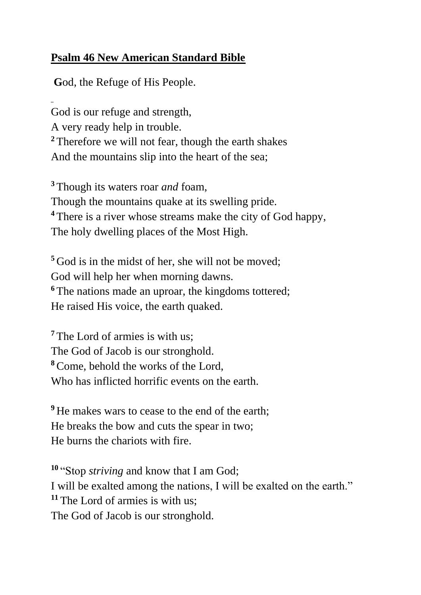## **Psalm 46 New American Standard Bible**

**G**od, the Refuge of His People.

God is our refuge and strength, A very ready help in trouble. **<sup>2</sup>** Therefore we will not fear, though the earth shakes And the mountains slip into the heart of the sea;

**<sup>3</sup>** Though its waters roar *and* foam, Though the mountains quake at its swelling pride. **<sup>4</sup>** There is a river whose streams make the city of God happy, The holy dwelling places of the Most High.

**<sup>5</sup>** God is in the midst of her, she will not be moved; God will help her when morning dawns. <sup>6</sup> The nations made an uproar, the kingdoms tottered; He raised His voice, the earth quaked.

<sup>7</sup> The Lord of armies is with us: The God of Jacob is our stronghold. **<sup>8</sup>**Come, behold the works of the Lord, Who has inflicted horrific events on the earth.

**<sup>9</sup>** He makes wars to cease to the end of the earth; He breaks the bow and cuts the spear in two; He burns the chariots with fire.

**<sup>10</sup>** "Stop *striving* and know that I am God; I will be exalted among the nations, I will be exalted on the earth." **<sup>11</sup>** The Lord of armies is with us; The God of Jacob is our stronghold.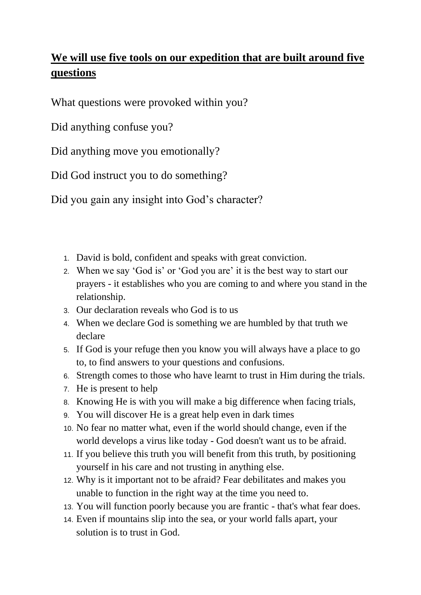## **We will use five tools on our expedition that are built around five questions**

What questions were provoked within you?

Did anything confuse you?

Did anything move you emotionally?

Did God instruct you to do something?

Did you gain any insight into God's character?

- 1. David is bold, confident and speaks with great conviction.
- 2. When we say 'God is' or 'God you are' it is the best way to start our prayers - it establishes who you are coming to and where you stand in the relationship.
- 3. Our declaration reveals who God is to us
- 4. When we declare God is something we are humbled by that truth we declare
- 5. If God is your refuge then you know you will always have a place to go to, to find answers to your questions and confusions.
- 6. Strength comes to those who have learnt to trust in Him during the trials.
- 7. He is present to help
- 8. Knowing He is with you will make a big difference when facing trials,
- 9. You will discover He is a great help even in dark times
- 10. No fear no matter what, even if the world should change, even if the world develops a virus like today - God doesn't want us to be afraid.
- 11. If you believe this truth you will benefit from this truth, by positioning yourself in his care and not trusting in anything else.
- 12. Why is it important not to be afraid? Fear debilitates and makes you unable to function in the right way at the time you need to.
- 13. You will function poorly because you are frantic that's what fear does.
- 14. Even if mountains slip into the sea, or your world falls apart, your solution is to trust in God.